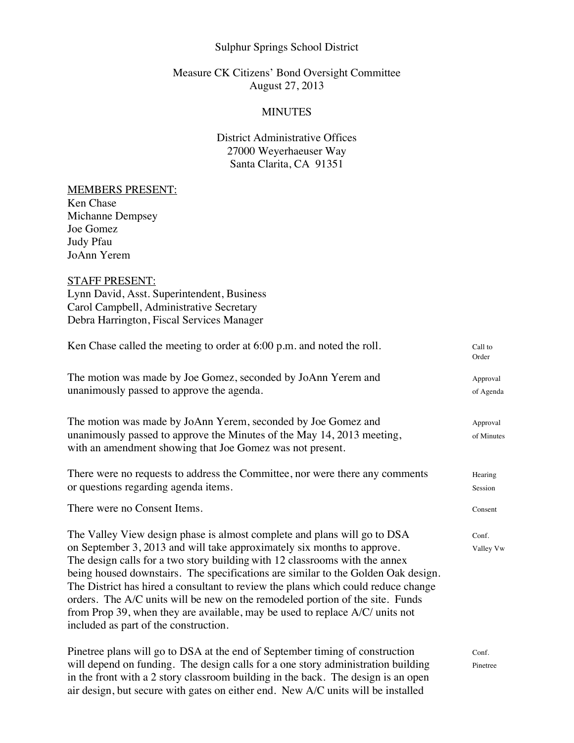## Sulphur Springs School District

# Measure CK Citizens' Bond Oversight Committee August 27, 2013

## **MINUTES**

# District Administrative Offices 27000 Weyerhaeuser Way Santa Clarita, CA 91351

#### MEMBERS PRESENT:

Ken Chase Michanne Dempsey Joe Gomez Judy Pfau JoAnn Yerem

## STAFF PRESENT:

Lynn David, Asst. Superintendent, Business Carol Campbell, Administrative Secretary Debra Harrington, Fiscal Services Manager

| Ken Chase called the meeting to order at $6:00$ p.m. and noted the roll.                                                                                                                                                                                                                                                                                                                                                                                                                                                                                                                                               | Call to<br>Order       |
|------------------------------------------------------------------------------------------------------------------------------------------------------------------------------------------------------------------------------------------------------------------------------------------------------------------------------------------------------------------------------------------------------------------------------------------------------------------------------------------------------------------------------------------------------------------------------------------------------------------------|------------------------|
| The motion was made by Joe Gomez, seconded by JoAnn Yerem and<br>unanimously passed to approve the agenda.                                                                                                                                                                                                                                                                                                                                                                                                                                                                                                             | Approval<br>of Agenda  |
| The motion was made by JoAnn Yerem, seconded by Joe Gomez and<br>unanimously passed to approve the Minutes of the May 14, 2013 meeting,<br>with an amendment showing that Joe Gomez was not present.                                                                                                                                                                                                                                                                                                                                                                                                                   | Approval<br>of Minutes |
| There were no requests to address the Committee, nor were there any comments<br>or questions regarding agenda items.                                                                                                                                                                                                                                                                                                                                                                                                                                                                                                   | Hearing<br>Session     |
| There were no Consent Items.                                                                                                                                                                                                                                                                                                                                                                                                                                                                                                                                                                                           | Consent                |
| The Valley View design phase is almost complete and plans will go to DSA<br>on September 3, 2013 and will take approximately six months to approve.<br>The design calls for a two story building with 12 classrooms with the annex<br>being housed downstairs. The specifications are similar to the Golden Oak design.<br>The District has hired a consultant to review the plans which could reduce change<br>orders. The A/C units will be new on the remodeled portion of the site. Funds<br>from Prop 39, when they are available, may be used to replace A/C/ units not<br>included as part of the construction. | Conf.<br>Valley Vw     |
| Pinetree plans will go to DSA at the end of September timing of construction<br>will depend on funding. The design calls for a one story administration building<br>in the front with a 2 story classroom building in the back. The design is an open<br>air design, but secure with gates on either end. New A/C units will be installed                                                                                                                                                                                                                                                                              | Conf.<br>Pinetree      |